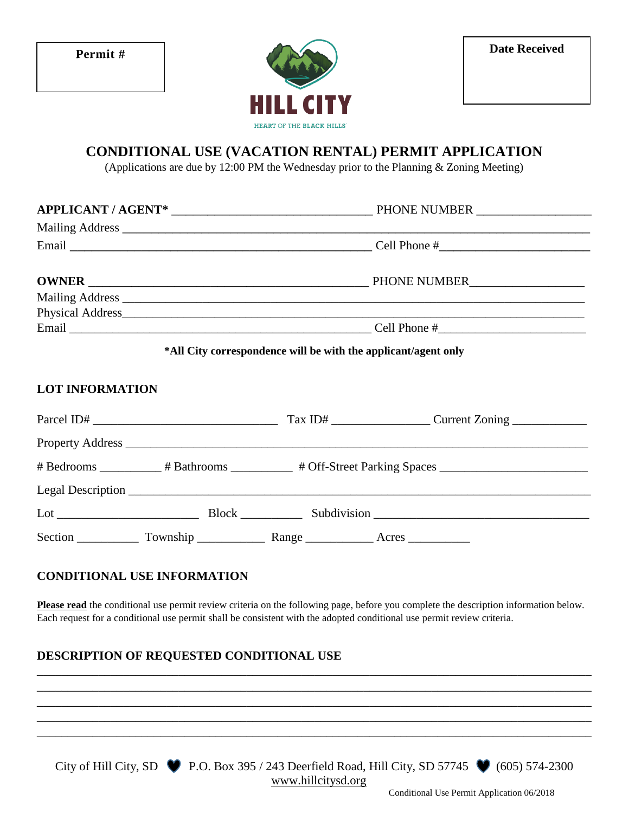

# **CONDITIONAL USE (VACATION RENTAL) PERMIT APPLICATION**

(Applications are due by 12:00 PM the Wednesday prior to the Planning & Zoning Meeting)

| *All City correspondence will be with the applicant/agent only |  |  |
|----------------------------------------------------------------|--|--|

#### **LOT INFORMATION**

| Parcel ID# $\_$ |                       |
|-----------------|-----------------------|
|                 |                       |
|                 |                       |
|                 |                       |
|                 | Lot Block Subdivision |
|                 |                       |

#### **CONDITIONAL USE INFORMATION**

**Please read** the conditional use permit review criteria on the following page, before you complete the description information below. Each request for a conditional use permit shall be consistent with the adopted conditional use permit review criteria.

\_\_\_\_\_\_\_\_\_\_\_\_\_\_\_\_\_\_\_\_\_\_\_\_\_\_\_\_\_\_\_\_\_\_\_\_\_\_\_\_\_\_\_\_\_\_\_\_\_\_\_\_\_\_\_\_\_\_\_\_\_\_\_\_\_\_\_\_\_\_\_\_\_\_\_\_\_\_\_\_\_\_\_\_\_\_\_\_\_\_ \_\_\_\_\_\_\_\_\_\_\_\_\_\_\_\_\_\_\_\_\_\_\_\_\_\_\_\_\_\_\_\_\_\_\_\_\_\_\_\_\_\_\_\_\_\_\_\_\_\_\_\_\_\_\_\_\_\_\_\_\_\_\_\_\_\_\_\_\_\_\_\_\_\_\_\_\_\_\_\_\_\_\_\_\_\_\_\_\_\_ \_\_\_\_\_\_\_\_\_\_\_\_\_\_\_\_\_\_\_\_\_\_\_\_\_\_\_\_\_\_\_\_\_\_\_\_\_\_\_\_\_\_\_\_\_\_\_\_\_\_\_\_\_\_\_\_\_\_\_\_\_\_\_\_\_\_\_\_\_\_\_\_\_\_\_\_\_\_\_\_\_\_\_\_\_\_\_\_\_\_ \_\_\_\_\_\_\_\_\_\_\_\_\_\_\_\_\_\_\_\_\_\_\_\_\_\_\_\_\_\_\_\_\_\_\_\_\_\_\_\_\_\_\_\_\_\_\_\_\_\_\_\_\_\_\_\_\_\_\_\_\_\_\_\_\_\_\_\_\_\_\_\_\_\_\_\_\_\_\_\_\_\_\_\_\_\_\_\_\_\_ \_\_\_\_\_\_\_\_\_\_\_\_\_\_\_\_\_\_\_\_\_\_\_\_\_\_\_\_\_\_\_\_\_\_\_\_\_\_\_\_\_\_\_\_\_\_\_\_\_\_\_\_\_\_\_\_\_\_\_\_\_\_\_\_\_\_\_\_\_\_\_\_\_\_\_\_\_\_\_\_\_\_\_\_\_\_\_\_\_\_

## **DESCRIPTION OF REQUESTED CONDITIONAL USE**

City of Hill City, SD  $\bullet$  P.O. Box 395 / 243 Deerfield Road, Hill City, SD 57745  $\bullet$  (605) 574-2300 www.hillcitysd.org

Conditional Use Permit Application 06/2018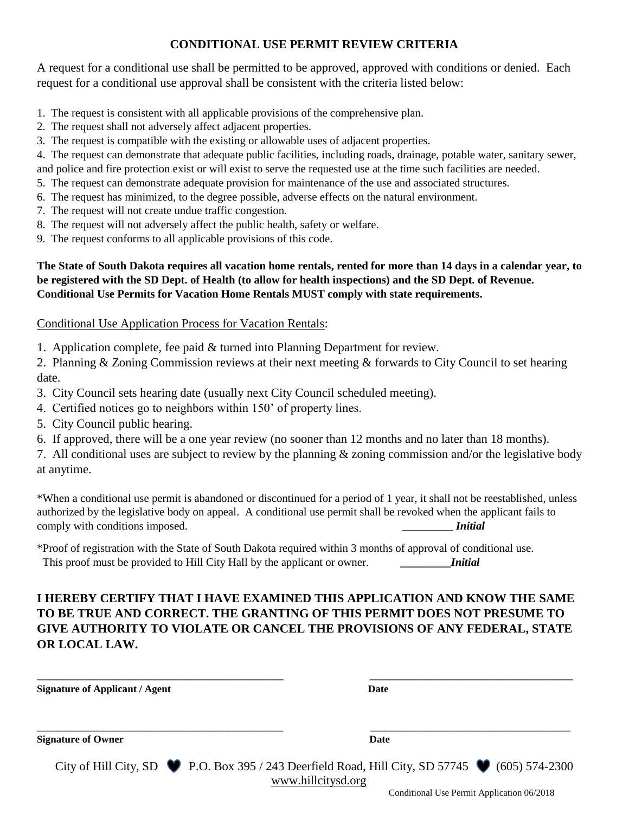## **CONDITIONAL USE PERMIT REVIEW CRITERIA**

A request for a conditional use shall be permitted to be approved, approved with conditions or denied. Each request for a conditional use approval shall be consistent with the criteria listed below:

- 1. The request is consistent with all applicable provisions of the comprehensive plan.
- 2. The request shall not adversely affect adjacent properties.
- 3. The request is compatible with the existing or allowable uses of adjacent properties.
- 4. The request can demonstrate that adequate public facilities, including roads, drainage, potable water, sanitary sewer,
- and police and fire protection exist or will exist to serve the requested use at the time such facilities are needed.
- 5. The request can demonstrate adequate provision for maintenance of the use and associated structures.
- 6. The request has minimized, to the degree possible, adverse effects on the natural environment.
- 7. The request will not create undue traffic congestion.
- 8. The request will not adversely affect the public health, safety or welfare.
- 9. The request conforms to all applicable provisions of this code.

#### **The State of South Dakota requires all vacation home rentals, rented for more than 14 days in a calendar year, to be registered with the SD Dept. of Health (to allow for health inspections) and the SD Dept. of Revenue. Conditional Use Permits for Vacation Home Rentals MUST comply with state requirements.**

#### Conditional Use Application Process for Vacation Rentals:

1. Application complete, fee paid & turned into Planning Department for review.

2. Planning & Zoning Commission reviews at their next meeting & forwards to City Council to set hearing date.

- 3. City Council sets hearing date (usually next City Council scheduled meeting).
- 4. Certified notices go to neighbors within 150' of property lines.
- 5. City Council public hearing.
- 6. If approved, there will be a one year review (no sooner than 12 months and no later than 18 months).

7. All conditional uses are subject to review by the planning & zoning commission and/or the legislative body at anytime.

\*When a conditional use permit is abandoned or discontinued for a period of 1 year, it shall not be reestablished, unless authorized by the legislative body on appeal. A conditional use permit shall be revoked when the applicant fails to comply with conditions imposed. **Initial** 

\*Proof of registration with the State of South Dakota required within 3 months of approval of conditional use. This proof must be provided to Hill City Hall by the applicant or owner*.* **\_\_\_\_\_\_\_\_\_***Initial*

# **I HEREBY CERTIFY THAT I HAVE EXAMINED THIS APPLICATION AND KNOW THE SAME TO BE TRUE AND CORRECT. THE GRANTING OF THIS PERMIT DOES NOT PRESUME TO GIVE AUTHORITY TO VIOLATE OR CANCEL THE PROVISIONS OF ANY FEDERAL, STATE OR LOCAL LAW.**

| <b>Signature of Applicant / Agent</b> | Date                                                                                                                                  |
|---------------------------------------|---------------------------------------------------------------------------------------------------------------------------------------|
| <b>Signature of Owner</b>             | Date                                                                                                                                  |
|                                       | City of Hill City, SD $\bullet$ P.O. Box 395 / 243 Deerfield Road, Hill City, SD 57745 $\bullet$ (605) 574-2300<br>www.hillcitysd.org |

Conditional Use Permit Application 06/2018